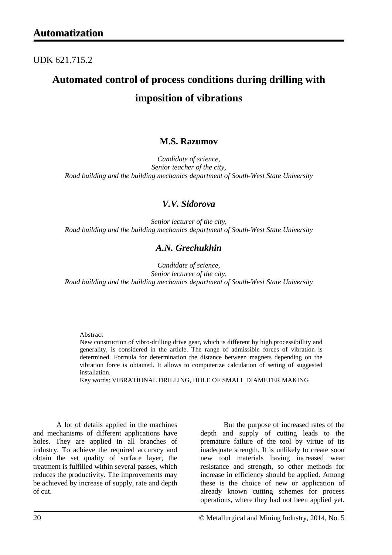UDK 621.715.2

# **Automated control of process conditions during drilling with imposition of vibrations**

### **M.S. Razumov**

*Candidate of science, Senior teacher of the city, Road building and the building mechanics department of South-West State University*

### *V.V. Sidorova*

*Senior lecturer of the city, Road building and the building mechanics department of South-West State University*

### *A.N. Grechukhin*

*Candidate of science, Senior lecturer of the city, Road building and the building mechanics department of South-West State University*

Abstract

New construction of vibro-drilling drive gear, which is different by high processibillity and generality, is considered in the article. The range of admissible forces of vibration is determined. Formula for determination the distance between magnets depending on the vibration force is obtained. It allows to computerize calculation of setting of suggested installation.

Key words: VIBRATIONAL DRILLING, HOLE OF SMALL DIAMETER MAKING

A lot of details applied in the machines and mechanisms of different applications have holes. They are applied in all branches of industry. To achieve the required accuracy and obtain the set quality of surface layer, the treatment is fulfilled within several passes, which reduces the productivity. The improvements may be achieved by increase of supply, rate and depth of cut.

But the purpose of increased rates of the depth and supply of cutting leads to the premature failure of the tool by virtue of its inadequate strength. It is unlikely to create soon new tool materials having increased wear resistance and strength, so other methods for increase in efficiency should be applied. Among these is the choice of new or application of already known cutting schemes for process operations, where they had not been applied yet.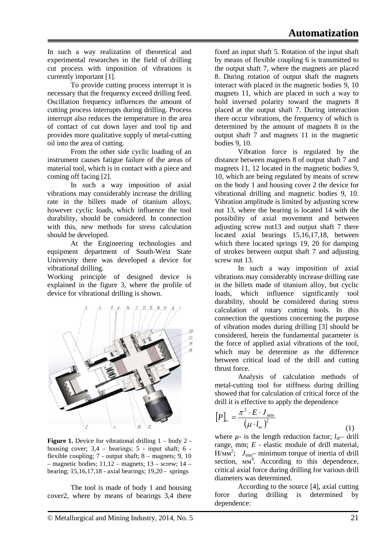In such a way realization of theoretical and experimental researches in the field of drilling cut process with imposition of vibrations is currently important [1].

To provide cutting process interrupt it is necessary that the frequency exceed drilling feed. Oscillation frequency influences the amount of cutting process interrupts during drilling. Process interrupt also reduces the temperature in the area of contact of cut down layer and tool tip and provides more qualitative supply of metal-cutting oil into the area of cutting.

From the other side cyclic loading of an instrument causes fatigue failure of the areas of material tool, which is in contact with a piece and coming off facing [2].

In such a way imposition of axial vibrations may considerably increase the drilling rate in the billets made of titanium alloys, however cyclic loads, which influence the tool durability, should be considered. In connection with this, new methods for stress calculation should be developed.

At the Engineering technologies and equipment department of South-West State University there was developed a device for vibrational drilling.

Working principle of designed device is explained in the figure 3, where the profile of device for vibrational drilling is shown.



**Figure 1.** Device for vibrational drilling  $1 - body 2$ housing cover;  $3,4$  – bearings;  $5$  - input shaft;  $6$  flexible coupling;  $7$  - output shaft;  $8$  – magnets;  $9$ ,  $10$  $-$  magnetic bodies; 11,12 – magnets; 13 – screw; 14 – bearing; 15,16,17,18 - axial bearings; 19,20 - springs

The tool is made of body 1 and housing cover2, where by means of bearings 3,4 there fixed an input shaft 5. Rotation of the input shaft by means of flexible coupling 6 is transmitted to the output shaft 7, where the magnets are placed 8. During rotation of output shaft the magnets interact with placed in the magnetic bodies 9, 10 magnets 11, which are placed in such a way to hold inversed polarity toward the magnets 8 placed at the output shaft 7. During interaction there occur vibrations, the frequency of which is determined by the amount of magnets 8 in the output shaft 7 and magnets 11 in the magnetic bodies 9, 10.

Vibration force is regulated by the distance between magnets 8 of output shaft 7 and magnets 11, 12 located in the magnetic bodies 9, 10, which are being regulated by means of screw on the body 1 and housing cover 2 the device for vibrational drilling and magnetic bodies 9, 10. Vibration amplitude is limited by adjusting screw nut 13, where the bearing is located 14 with the possibility of axial movement and between adjusting screw nut13 and output shaft 7 there located axial bearings 15,16,17,18, between which there located springs 19, 20 for damping of strokes between output shaft 7 and adjusting screw nut 13.

In such a way imposition of axial vibrations may considerably increase drilling rate in the billets made of titanium alloy, but cyclic loads, which influence significantly tool durability, should be considered during stress calculation of rotary cutting tools. In this connection the questions concerning the purpose of vibration modes during drilling [3] should be considered, herein the fundamental parameter is the force of applied axial vibrations of the tool, which may be determine as the difference between critical load of the drill and cutting thrust force.

Analysis of calculation methods of metal-cutting tool for stiffness during drilling showed that for calculation of critical force of the drill it is effective to apply the dependence

$$
[P]_{o.} = \frac{\pi^2 \cdot E \cdot J_{\text{min}}}{\left(\mu \cdot l_{ec}\right)^2} \tag{1}
$$

where  $\mu$ - is the length reduction factor;  $l_{dr}$ – drill range, mm; *E* - elastic module of drill material,  $H/Mm^2$ ;  $J_{min}$ — minimum torque of inertia of drill section,  $MM^4$ . According to this dependence, critical axial force during drilling for various drill diameters was determined.

According to the source [4], axial cutting force during drilling is determined by dependence: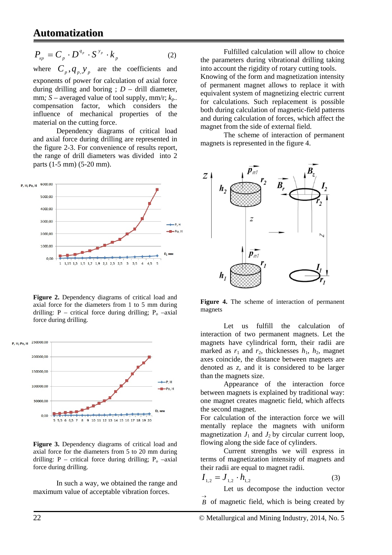## **Automatization**

$$
P_{\scriptscriptstyle \kappa p} = C_{\scriptscriptstyle p} \cdot D^{\scriptscriptstyle q_{\scriptscriptstyle p}} \cdot S^{\scriptscriptstyle y_{\scriptscriptstyle p}} \cdot k_{\scriptscriptstyle p} \tag{2}
$$

where  $C_p$ ,  $q_p$ ,  $y_p$  are the coefficients and exponents of power for calculation of axial force during drilling and boring ;  $D -$  drill diameter, mm*; S* – averaged value of tool supply, mm/r; *kp-* compensation factor, which considers the influence of mechanical properties of the material on the cutting force.

Dependency diagrams of critical load and axial force during drilling are represented in the figure 2-3. For convenience of results report, the range of drill diameters was divided into 2 parts (1-5 mm) (5-20 mm).



**Figure 2.** Dependency diagrams of critical load and axial force for the diameters from 1 to 5 mm during drilling: P – critical force during drilling;  $P_0$  –axial force during drilling.



**Figure 3.** Dependency diagrams of critical load and axial force for the diameters from 5 to 20 mm during drilling: P – critical force during drilling;  $P_0$  –axial force during drilling.

In such a way, we obtained the range and maximum value of acceptable vibration forces.

Fulfilled calculation will allow to choice the parameters during vibrational drilling taking into account the rigidity of rotary cutting tools. Knowing of the form and magnetization intensity of permanent magnet allows to replace it with equivalent system of magnetizing electric current for calculations. Such replacement is possible both during calculation of magnetic-field patterns and during calculation of forces, which affect the magnet from the side of external field.

The scheme of interaction of permanent magnets is represented in the figure 4.



**Figure 4.** The scheme of interaction of permanent magnets

Let us fulfill the calculation of interaction of two permanent magnets. Let the magnets have cylindrical form, their radii are marked as  $r_1$  and  $r_2$ , thicknesses  $h_1$ ,  $h_2$ , magnet axes coincide, the distance between magnets are denoted as *z*, and it is considered to be larger than the magnets size.

Appearance of the interaction force between magnets is explained by traditional way: one magnet creates magnetic field, which affects the second magnet.

For calculation of the interaction force we will mentally replace the magnets with uniform magnetization  $J_1$  and  $J_2$  by circular current loop, flowing along the side face of cylinders.

Current strengths we will express in terms of magnetization intensity of magnets and their radii are equal to magnet radii.

$$
I_{1,2} = J_{1,2} \cdot h_{1,2} \tag{3}
$$

Let us decompose the induction vector

 $\overrightarrow{B}$  of magnetic field, which is being created by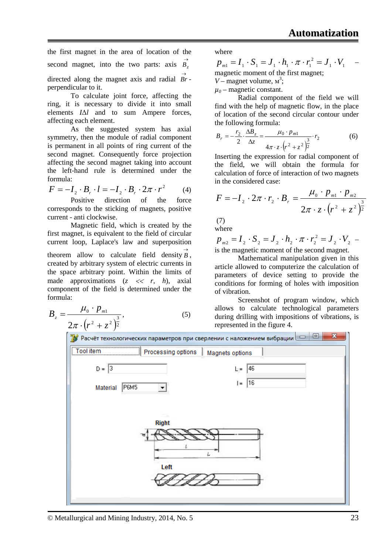the first magnet in the area of location of the

second magnet, into the two parts: axis 
$$
\overrightarrow{B_z}
$$

directed along the magnet axis and radial  $\overrightarrow{Br}$ perpendicular to it.

To calculate joint force, affecting the ring, it is necessary to divide it into small elements *I*Δ*l* and to sum Ampere forces, affecting each element.

As the suggested system has axial symmetry, then the module of radial component is permanent in all points of ring current of the second magnet. Consequently force projection affecting the second magnet taking into account the left-hand rule is determined under the formula:

$$
F = -I_2 \cdot B_r \cdot l = -I_2 \cdot B_r \cdot 2\pi \cdot r^2 \qquad (4)
$$

Positive direction of the force corresponds to the sticking of magnets, positive current - anti clockwise.

Magnetic field, which is created by the first magnet, is equivalent to the field of circular current loop, Laplace's law and superposition theorem allow to calculate field density  $\overrightarrow{B}$ , created by arbitrary system of electric currents in the space arbitrary point. Within the limits of made approximations  $(z \ll r, h)$ , axial component of the field is determined under the formula:

$$
B_z = \frac{\mu_0 \cdot p_{m1}}{2\pi \cdot (r^2 + z^2)^{\frac{3}{2}}},\tag{5}
$$

where

1 1  $p_{m1} = I_1 \cdot S_1 = J_1 \cdot h_1 \cdot \pi \cdot r_1^2 = J_1 \cdot V_1$ magnetic moment of the first magnet;

 $V$  – magnet volume,  $M^3$ ;

 $\mu_0$  – magnetic constant.

Radial component of the field we will find with the help of magnetic flow, in the place of location of the second circular contour under the following formula:

$$
B_r = -\frac{r_2}{2} \cdot \frac{\Delta B_z}{\Delta z} = \frac{\mu_0 \cdot p_{m1}}{4\pi \cdot z \cdot (r^2 + z^2)^{\frac{3}{2}}} \cdot r_2
$$
 (6)

Inserting the expression for radial component of the field, we will obtain the formula for calculation of force of interaction of two magnets in the considered case:

$$
F = -I_2 \cdot 2\pi \cdot r_2 \cdot B_r = \frac{\mu_0 \cdot p_{m1} \cdot p_{m2}}{2\pi \cdot z \cdot (r^2 + z^2)^{\frac{3}{2}}}
$$

(7) where

2 2  $p_{m2} = I_2 \cdot S_2 = J_2 \cdot h_2 \cdot \pi \cdot r_2^2 = J_2 \cdot V_2$ is the magnetic moment of the second magnet.

Mathematical manipulation given in this article allowed to computerize the calculation of parameters of device setting to provide the conditions for forming of holes with imposition of vibration.

Screenshot of program window, which allows to calculate technological parameters during drilling with impositions of vibrations, is represented in the figure 4.